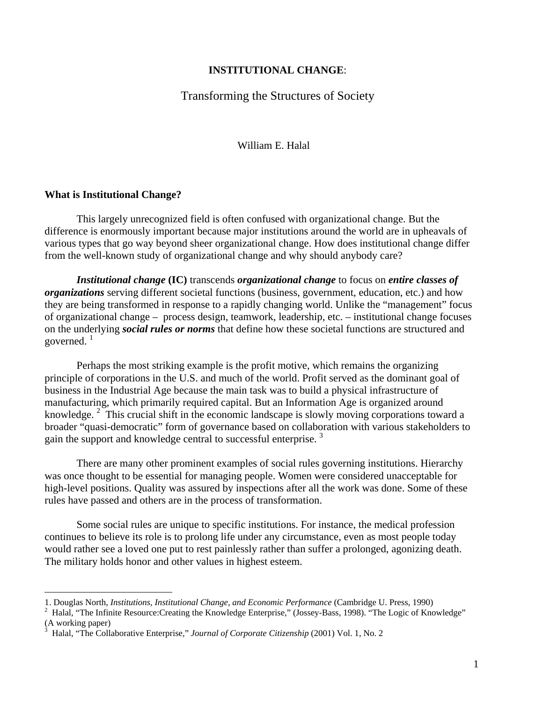### **INSTITUTIONAL CHANGE**:

# Transforming the Structures of Society

William E. Halal

#### **What is Institutional Change?**

 $\overline{a}$ 

This largely unrecognized field is often confused with organizational change. But the difference is enormously important because major institutions around the world are in upheavals of various types that go way beyond sheer organizational change. How does institutional change differ from the well-known study of organizational change and why should anybody care?

*Institutional change* **(IC)** transcends *organizational change* to focus on *entire classes of organizations* serving different societal functions (business, government, education, etc.) and how they are being transformed in response to a rapidly changing world. Unlike the "management" focus of organizational change – process design, teamwork, leadership, etc. – institutional change focuses on the underlying *social rules or norms* that define how these societal functions are structured and governed. $1$ 

Perhaps the most striking example is the profit motive, which remains the organizing principle of corporations in the U.S. and much of the world. Profit served as the dominant goal of business in the Industrial Age because the main task was to build a physical infrastructure of manufacturing, which primarily required capital. But an Information Age is organized around knowledge.<sup>2</sup> This crucial shift in the economic landscape is slowly moving corporations toward a broader "quasi-democratic" form of governance based on collaboration with various stakeholders to gain the support and knowledge central to successful enterprise.<sup>3</sup>

There are many other prominent examples of social rules governing institutions. Hierarchy was once thought to be essential for managing people. Women were considered unacceptable for high-level positions. Quality was assured by inspections after all the work was done. Some of these rules have passed and others are in the process of transformation.

Some social rules are unique to specific institutions. For instance, the medical profession continues to believe its role is to prolong life under any circumstance, even as most people today would rather see a loved one put to rest painlessly rather than suffer a prolonged, agonizing death. The military holds honor and other values in highest esteem.

<sup>1.</sup> Douglas North, *Institutions, Institutional Change, and Economic Performance* (Cambridge U. Press, 1990) 2

Halal, "The Infinite Resource:Creating the Knowledge Enterprise," (Jossey-Bass, 1998). "The Logic of Knowledge" (A working paper)

<sup>3</sup> Halal, "The Collaborative Enterprise," *Journal of Corporate Citizenship* (2001) Vol. 1, No. 2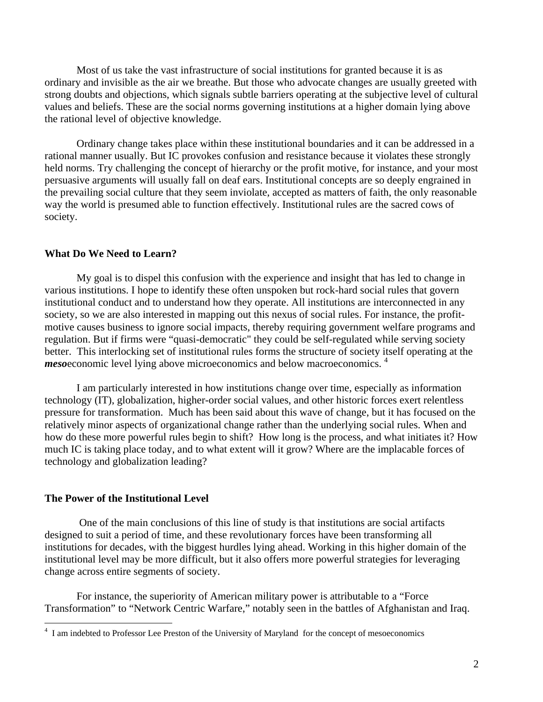Most of us take the vast infrastructure of social institutions for granted because it is as ordinary and invisible as the air we breathe. But those who advocate changes are usually greeted with strong doubts and objections, which signals subtle barriers operating at the subjective level of cultural values and beliefs. These are the social norms governing institutions at a higher domain lying above the rational level of objective knowledge.

Ordinary change takes place within these institutional boundaries and it can be addressed in a rational manner usually. But IC provokes confusion and resistance because it violates these strongly held norms. Try challenging the concept of hierarchy or the profit motive, for instance, and your most persuasive arguments will usually fall on deaf ears. Institutional concepts are so deeply engrained in the prevailing social culture that they seem inviolate, accepted as matters of faith, the only reasonable way the world is presumed able to function effectively. Institutional rules are the sacred cows of society.

### **What Do We Need to Learn?**

My goal is to dispel this confusion with the experience and insight that has led to change in various institutions. I hope to identify these often unspoken but rock-hard social rules that govern institutional conduct and to understand how they operate. All institutions are interconnected in any society, so we are also interested in mapping out this nexus of social rules. For instance, the profitmotive causes business to ignore social impacts, thereby requiring government welfare programs and regulation. But if firms were "quasi-democratic" they could be self-regulated while serving society better. This interlocking set of institutional rules forms the structure of society itself operating at the *meso*economic level lying above microeconomics and below macroeconomics.<sup>4</sup>

I am particularly interested in how institutions change over time, especially as information technology (IT), globalization, higher-order social values, and other historic forces exert relentless pressure for transformation. Much has been said about this wave of change, but it has focused on the relatively minor aspects of organizational change rather than the underlying social rules. When and how do these more powerful rules begin to shift? How long is the process, and what initiates it? How much IC is taking place today, and to what extent will it grow? Where are the implacable forces of technology and globalization leading?

### **The Power of the Institutional Level**

 One of the main conclusions of this line of study is that institutions are social artifacts designed to suit a period of time, and these revolutionary forces have been transforming all institutions for decades, with the biggest hurdles lying ahead. Working in this higher domain of the institutional level may be more difficult, but it also offers more powerful strategies for leveraging change across entire segments of society.

For instance, the superiority of American military power is attributable to a "Force Transformation" to "Network Centric Warfare," notably seen in the battles of Afghanistan and Iraq.

 4 I am indebted to Professor Lee Preston of the University of Maryland for the concept of mesoeconomics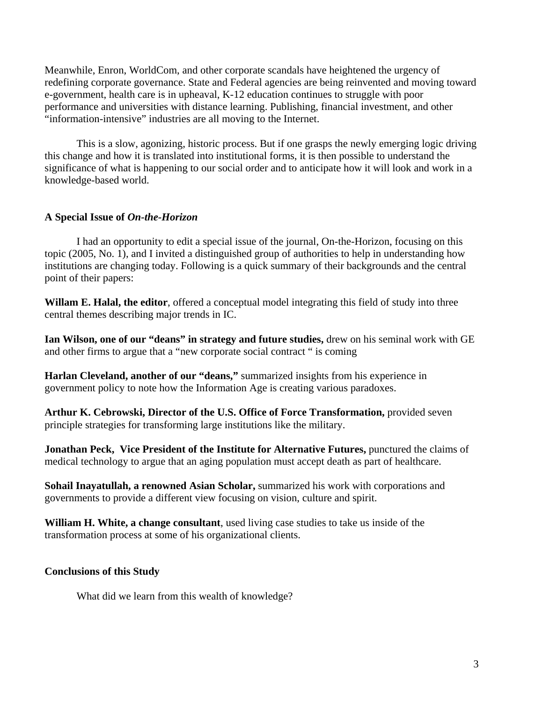Meanwhile, Enron, WorldCom, and other corporate scandals have heightened the urgency of redefining corporate governance. State and Federal agencies are being reinvented and moving toward e-government, health care is in upheaval, K-12 education continues to struggle with poor performance and universities with distance learning. Publishing, financial investment, and other "information-intensive" industries are all moving to the Internet.

This is a slow, agonizing, historic process. But if one grasps the newly emerging logic driving this change and how it is translated into institutional forms, it is then possible to understand the significance of what is happening to our social order and to anticipate how it will look and work in a knowledge-based world.

# **A Special Issue of** *On-the-Horizon*

I had an opportunity to edit a special issue of the journal, On-the-Horizon, focusing on this topic (2005, No. 1), and I invited a distinguished group of authorities to help in understanding how institutions are changing today. Following is a quick summary of their backgrounds and the central point of their papers:

**Willam E. Halal, the editor**, offered a conceptual model integrating this field of study into three central themes describing major trends in IC.

**Ian Wilson, one of our "deans" in strategy and future studies,** drew on his seminal work with GE and other firms to argue that a "new corporate social contract " is coming

**Harlan Cleveland, another of our "deans,"** summarized insights from his experience in government policy to note how the Information Age is creating various paradoxes.

**Arthur K. Cebrowski, Director of the U.S. Office of Force Transformation,** provided seven principle strategies for transforming large institutions like the military.

**Jonathan Peck, Vice President of the Institute for Alternative Futures,** punctured the claims of medical technology to argue that an aging population must accept death as part of healthcare.

**Sohail Inayatullah, a renowned Asian Scholar,** summarized his work with corporations and governments to provide a different view focusing on vision, culture and spirit.

**William H. White, a change consultant**, used living case studies to take us inside of the transformation process at some of his organizational clients.

### **Conclusions of this Study**

What did we learn from this wealth of knowledge?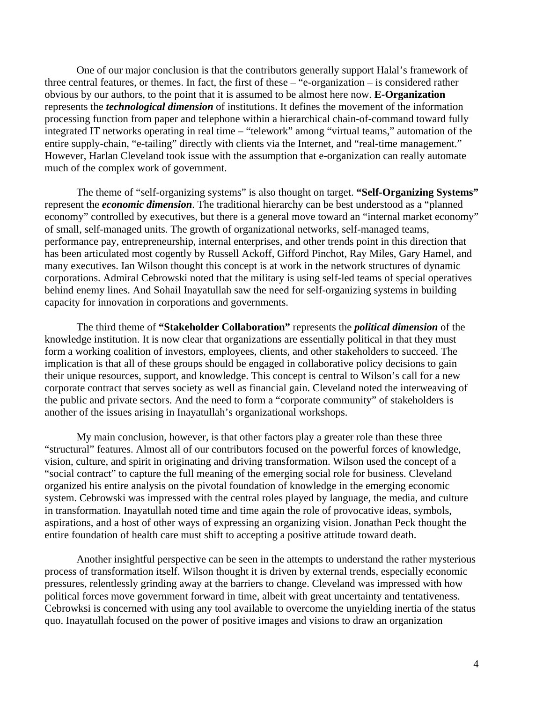One of our major conclusion is that the contributors generally support Halal's framework of three central features, or themes. In fact, the first of these – "e-organization – is considered rather obvious by our authors, to the point that it is assumed to be almost here now. **E-Organization** represents the *technological dimension* of institutions. It defines the movement of the information processing function from paper and telephone within a hierarchical chain-of-command toward fully integrated IT networks operating in real time – "telework" among "virtual teams," automation of the entire supply-chain, "e-tailing" directly with clients via the Internet, and "real-time management." However, Harlan Cleveland took issue with the assumption that e-organization can really automate much of the complex work of government.

 The theme of "self-organizing systems" is also thought on target. **"Self-Organizing Systems"** represent the *economic dimension*. The traditional hierarchy can be best understood as a "planned economy" controlled by executives, but there is a general move toward an "internal market economy" of small, self-managed units. The growth of organizational networks, self-managed teams, performance pay, entrepreneurship, internal enterprises, and other trends point in this direction that has been articulated most cogently by Russell Ackoff, Gifford Pinchot, Ray Miles, Gary Hamel, and many executives. Ian Wilson thought this concept is at work in the network structures of dynamic corporations. Admiral Cebrowski noted that the military is using self-led teams of special operatives behind enemy lines. And Sohail Inayatullah saw the need for self-organizing systems in building capacity for innovation in corporations and governments.

 The third theme of **"Stakeholder Collaboration"** represents the *political dimension* of the knowledge institution. It is now clear that organizations are essentially political in that they must form a working coalition of investors, employees, clients, and other stakeholders to succeed. The implication is that all of these groups should be engaged in collaborative policy decisions to gain their unique resources, support, and knowledge. This concept is central to Wilson's call for a new corporate contract that serves society as well as financial gain. Cleveland noted the interweaving of the public and private sectors. And the need to form a "corporate community" of stakeholders is another of the issues arising in Inayatullah's organizational workshops.

My main conclusion, however, is that other factors play a greater role than these three "structural" features. Almost all of our contributors focused on the powerful forces of knowledge, vision, culture, and spirit in originating and driving transformation. Wilson used the concept of a "social contract" to capture the full meaning of the emerging social role for business. Cleveland organized his entire analysis on the pivotal foundation of knowledge in the emerging economic system. Cebrowski was impressed with the central roles played by language, the media, and culture in transformation. Inayatullah noted time and time again the role of provocative ideas, symbols, aspirations, and a host of other ways of expressing an organizing vision. Jonathan Peck thought the entire foundation of health care must shift to accepting a positive attitude toward death.

 Another insightful perspective can be seen in the attempts to understand the rather mysterious process of transformation itself. Wilson thought it is driven by external trends, especially economic pressures, relentlessly grinding away at the barriers to change. Cleveland was impressed with how political forces move government forward in time, albeit with great uncertainty and tentativeness. Cebrowksi is concerned with using any tool available to overcome the unyielding inertia of the status quo. Inayatullah focused on the power of positive images and visions to draw an organization